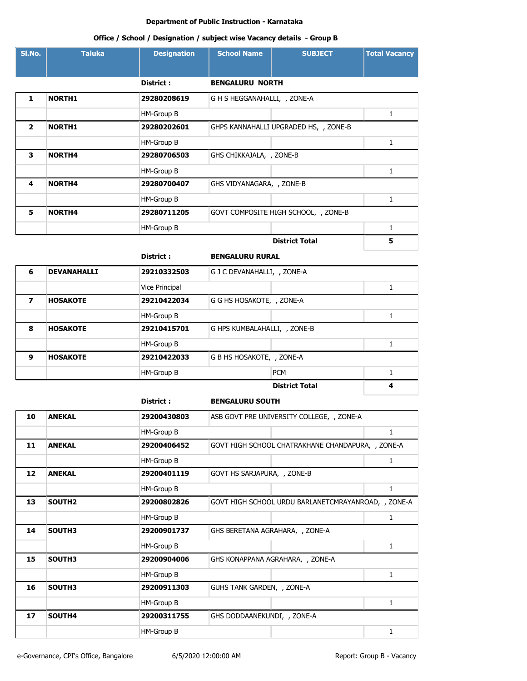## **Office / School / Designation / subject wise Vacancy details - Group B**

| SI.No.                   | <b>Taluka</b>      | <b>Designation</b> | <b>School Name</b>           | <b>SUBJECT</b>                        | <b>Total Vacancy</b> |
|--------------------------|--------------------|--------------------|------------------------------|---------------------------------------|----------------------|
|                          |                    | <b>District:</b>   | <b>BENGALURU NORTH</b>       |                                       |                      |
| $\mathbf{1}$             | <b>NORTH1</b>      | 29280208619        | G H S HEGGANAHALLI, , ZONE-A |                                       |                      |
|                          |                    | HM-Group B         |                              |                                       | $\mathbf{1}$         |
| $\overline{2}$           | <b>NORTH1</b>      | 29280202601        |                              | GHPS KANNAHALLI UPGRADED HS, , ZONE-B |                      |
|                          |                    | HM-Group B         |                              |                                       | $\mathbf{1}$         |
| 3                        | <b>NORTH4</b>      | 29280706503        | GHS CHIKKAJALA, , ZONE-B     |                                       |                      |
|                          |                    | HM-Group B         |                              |                                       | $\mathbf{1}$         |
| 4                        | <b>NORTH4</b>      | 29280700407        | GHS VIDYANAGARA, , ZONE-B    |                                       |                      |
|                          |                    | HM-Group B         |                              |                                       | 1                    |
| 5                        | <b>NORTH4</b>      | 29280711205        |                              | GOVT COMPOSITE HIGH SCHOOL, , ZONE-B  |                      |
|                          |                    | HM-Group B         |                              |                                       | $\mathbf{1}$         |
|                          |                    |                    |                              | <b>District Total</b>                 | 5                    |
|                          |                    | District:          | <b>BENGALURU RURAL</b>       |                                       |                      |
| 6                        | <b>DEVANAHALLI</b> | 29210332503        | G J C DEVANAHALLI, , ZONE-A  |                                       |                      |
|                          |                    | Vice Principal     |                              |                                       | $\mathbf{1}$         |
| $\overline{\phantom{a}}$ | <b>HOSAKOTE</b>    | 29210422034        | G G HS HOSAKOTE, , ZONE-A    |                                       |                      |
|                          |                    | HM-Group B         |                              |                                       | $\mathbf{1}$         |
| 8                        | <b>HOSAKOTE</b>    | 29210415701        | G HPS KUMBALAHALLI, , ZONE-B |                                       |                      |
|                          |                    | HM-Group B         |                              |                                       | 1                    |

|   |                 | District :  | <b>BENGALURU SOUTH</b>    |                       |   |
|---|-----------------|-------------|---------------------------|-----------------------|---|
|   |                 |             |                           | <b>District Total</b> | 4 |
|   |                 | HM-Group B  |                           | <b>PCM</b>            |   |
| 9 | <b>HOSAKOTE</b> | 29210422033 | G B HS HOSAKOTE, , ZONE-A |                       |   |
|   |                 |             |                           |                       |   |

| 10 | <b>ANEKAL</b>      | 29200430803 |                             | ASB GOVT PRE UNIVERSITY COLLEGE, , ZONE-A           |   |
|----|--------------------|-------------|-----------------------------|-----------------------------------------------------|---|
|    |                    | HM-Group B  |                             |                                                     | 1 |
| 11 | <b>ANEKAL</b>      | 29200406452 |                             | GOVT HIGH SCHOOL CHATRAKHANE CHANDAPURA, , ZONE-A   |   |
|    |                    | HM-Group B  |                             |                                                     | 1 |
| 12 | <b>ANEKAL</b>      | 29200401119 | GOVT HS SARJAPURA, , ZONE-B |                                                     |   |
|    |                    | HM-Group B  |                             |                                                     | 1 |
| 13 | SOUTH <sub>2</sub> | 29200802826 |                             | GOVT HIGH SCHOOL URDU BARLANETCMRAYANROAD, , ZONE-A |   |
|    |                    | HM-Group B  |                             |                                                     | 1 |
| 14 | SOUTH3             | 29200901737 |                             | GHS BERETANA AGRAHARA, , ZONE-A                     |   |
|    |                    | HM-Group B  |                             |                                                     | 1 |
| 15 | SOUTH3             | 29200904006 |                             | GHS KONAPPANA AGRAHARA, , ZONE-A                    |   |
|    |                    | HM-Group B  |                             |                                                     | 1 |
| 16 | SOUTH3             | 29200911303 | GUHS TANK GARDEN, , ZONE-A  |                                                     |   |
|    |                    | HM-Group B  |                             |                                                     | 1 |
| 17 | SOUTH4             | 29200311755 | GHS DODDAANEKUNDI, , ZONE-A |                                                     |   |
|    |                    | HM-Group B  |                             |                                                     |   |
|    |                    |             |                             |                                                     |   |

e-Governance, CPI's Office, Bangalore 6/5/2020 12:00:00 AM Report: Group B - Vacancy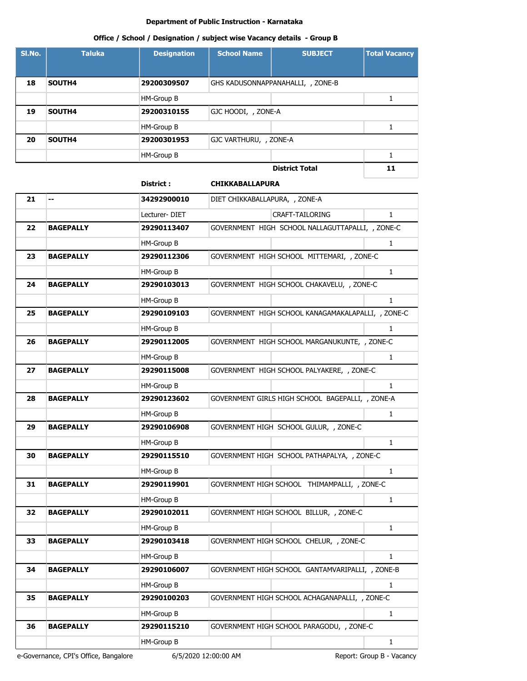# **Office / School / Designation / subject wise Vacancy details - Group B**

| SI.No. | <b>Taluka</b> | <b>Designation</b> | <b>School Name</b>     | <b>SUBJECT</b>                    | <b>Total Vacancy</b> |
|--------|---------------|--------------------|------------------------|-----------------------------------|----------------------|
|        |               |                    |                        |                                   |                      |
| 18     | SOUTH4        | 29200309507        |                        | GHS KADUSONNAPPANAHALLI, , ZONE-B |                      |
|        |               | HM-Group B         |                        |                                   |                      |
| 19     | SOUTH4        | 29200310155        | GJC HOODI, , ZONE-A    |                                   |                      |
|        |               | HM-Group B         |                        |                                   |                      |
| 20     | SOUTH4        | 29200301953        | GJC VARTHURU, , ZONE-A |                                   |                      |
|        |               | HM-Group B         |                        |                                   |                      |
|        |               |                    |                        | <b>District Total</b>             | 11                   |

#### **District : CHIKKABALLAPURA**

| 21 | --               | 34292900010   | DIET CHIKKABALLAPURA, , ZONE-A                     |              |
|----|------------------|---------------|----------------------------------------------------|--------------|
|    |                  | Lecturer-DIET | <b>CRAFT-TAILORING</b>                             | $\mathbf{1}$ |
| 22 | <b>BAGEPALLY</b> | 29290113407   | GOVERNMENT HIGH SCHOOL NALLAGUTTAPALLI, , ZONE-C   |              |
|    |                  | HM-Group B    |                                                    | $\mathbf{1}$ |
| 23 | <b>BAGEPALLY</b> | 29290112306   | GOVERNMENT HIGH SCHOOL MITTEMARI, , ZONE-C         |              |
|    |                  | HM-Group B    |                                                    | $\mathbf{1}$ |
| 24 | <b>BAGEPALLY</b> | 29290103013   | GOVERNMENT HIGH SCHOOL CHAKAVELU, , ZONE-C         |              |
|    |                  | HM-Group B    |                                                    | $\mathbf{1}$ |
| 25 | <b>BAGEPALLY</b> | 29290109103   | GOVERNMENT HIGH SCHOOL KANAGAMAKALAPALLI, , ZONE-C |              |
|    |                  | HM-Group B    |                                                    | 1            |
| 26 | <b>BAGEPALLY</b> | 29290112005   | GOVERNMENT HIGH SCHOOL MARGANUKUNTE, , ZONE-C      |              |
|    |                  | HM-Group B    |                                                    | $\mathbf{1}$ |
| 27 | <b>BAGEPALLY</b> | 29290115008   | GOVERNMENT HIGH SCHOOL PALYAKERE, , ZONE-C         |              |
|    |                  | HM-Group B    |                                                    | $\mathbf{1}$ |
| 28 | <b>BAGEPALLY</b> | 29290123602   | GOVERNMENT GIRLS HIGH SCHOOL BAGEPALLI, , ZONE-A   |              |
|    |                  | HM-Group B    |                                                    | 1            |
| 29 | <b>BAGEPALLY</b> | 29290106908   | GOVERNMENT HIGH SCHOOL GULUR, , ZONE-C             |              |
|    |                  | HM-Group B    |                                                    | 1            |
| 30 | <b>BAGEPALLY</b> | 29290115510   | GOVERNMENT HIGH SCHOOL PATHAPALYA, , ZONE-C        |              |
|    |                  | HM-Group B    |                                                    | $\mathbf{1}$ |
| 31 | <b>BAGEPALLY</b> | 29290119901   | GOVERNMENT HIGH SCHOOL THIMAMPALLI, , ZONE-C       |              |
|    |                  | HM-Group B    |                                                    | 1            |
| 32 | <b>BAGEPALLY</b> | 29290102011   | GOVERNMENT HIGH SCHOOL BILLUR, , ZONE-C            |              |
|    |                  | HM-Group B    |                                                    | 1            |
| 33 | <b>BAGEPALLY</b> | 29290103418   | GOVERNMENT HIGH SCHOOL CHELUR, , ZONE-C            |              |
|    |                  | HM-Group B    |                                                    | $\mathbf{1}$ |
| 34 | <b>BAGEPALLY</b> | 29290106007   | GOVERNMENT HIGH SCHOOL GANTAMVARIPALLI, , ZONE-B   |              |
|    |                  | HM-Group B    |                                                    | 1            |
| 35 | <b>BAGEPALLY</b> | 29290100203   | GOVERNMENT HIGH SCHOOL ACHAGANAPALLI, , ZONE-C     |              |
|    |                  | HM-Group B    |                                                    | 1            |
| 36 | <b>BAGEPALLY</b> | 29290115210   | GOVERNMENT HIGH SCHOOL PARAGODU, , ZONE-C          |              |
|    |                  | HM-Group B    |                                                    | $\mathbf{1}$ |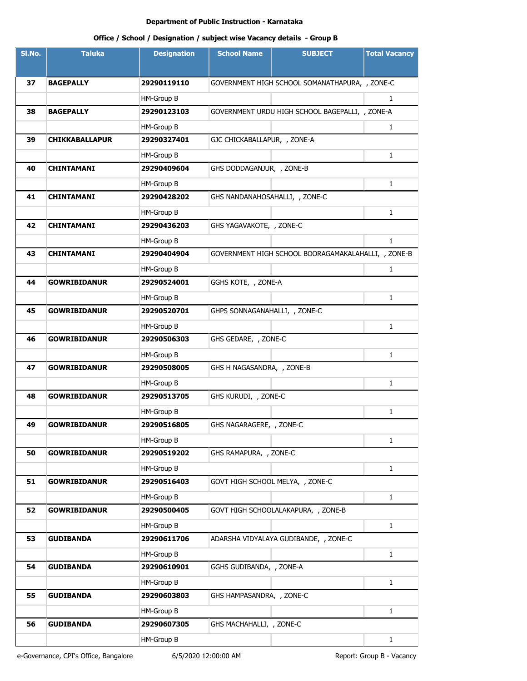| SI.No. | <b>Taluka</b>         | <b>Designation</b> | <b>School Name</b>             | <b>SUBJECT</b>                                      | <b>Total Vacancy</b> |
|--------|-----------------------|--------------------|--------------------------------|-----------------------------------------------------|----------------------|
|        |                       |                    |                                |                                                     |                      |
| 37     | <b>BAGEPALLY</b>      | 29290119110        |                                | GOVERNMENT HIGH SCHOOL SOMANATHAPURA, , ZONE-C      |                      |
|        |                       | HM-Group B         |                                |                                                     | 1                    |
| 38     | <b>BAGEPALLY</b>      | 29290123103        |                                | GOVERNMENT URDU HIGH SCHOOL BAGEPALLI, , ZONE-A     |                      |
|        |                       | HM-Group B         |                                |                                                     | 1                    |
| 39     | <b>CHIKKABALLAPUR</b> | 29290327401        | GJC CHICKABALLAPUR, , ZONE-A   |                                                     |                      |
|        |                       | HM-Group B         |                                |                                                     | 1                    |
| 40     | <b>CHINTAMANI</b>     | 29290409604        | GHS DODDAGANJUR, , ZONE-B      |                                                     |                      |
|        |                       | HM-Group B         |                                |                                                     | $\mathbf{1}$         |
| 41     | <b>CHINTAMANI</b>     | 29290428202        | GHS NANDANAHOSAHALLI, , ZONE-C |                                                     |                      |
|        |                       | HM-Group B         |                                |                                                     | $\mathbf{1}$         |
| 42     | <b>CHINTAMANI</b>     | 29290436203        | GHS YAGAVAKOTE, , ZONE-C       |                                                     |                      |
|        |                       | HM-Group B         |                                |                                                     | $\mathbf{1}$         |
| 43     | <b>CHINTAMANI</b>     | 29290404904        |                                | GOVERNMENT HIGH SCHOOL BOORAGAMAKALAHALLI, , ZONE-B |                      |
|        |                       | HM-Group B         |                                |                                                     | 1                    |
| 44     | <b>GOWRIBIDANUR</b>   | 29290524001        | GGHS KOTE, , ZONE-A            |                                                     |                      |
|        |                       | HM-Group B         |                                |                                                     | $\mathbf{1}$         |
| 45     | <b>GOWRIBIDANUR</b>   | 29290520701        | GHPS SONNAGANAHALLI, , ZONE-C  |                                                     |                      |
|        |                       | HM-Group B         |                                |                                                     | $\mathbf{1}$         |
| 46     | <b>GOWRIBIDANUR</b>   | 29290506303        | GHS GEDARE, , ZONE-C           |                                                     |                      |
|        |                       | HM-Group B         |                                |                                                     | $\mathbf{1}$         |
| 47     | <b>GOWRIBIDANUR</b>   | 29290508005        | GHS H NAGASANDRA, , ZONE-B     |                                                     |                      |
|        |                       | HM-Group B         |                                |                                                     | $\mathbf{1}$         |
| 48     | <b>GOWRIBIDANUR</b>   | 29290513705        | GHS KURUDI, , ZONE-C           |                                                     |                      |
|        |                       | HM-Group B         |                                |                                                     | 1                    |
| 49     | <b>GOWRIBIDANUR</b>   | 29290516805        | GHS NAGARAGERE, , ZONE-C       |                                                     |                      |
|        |                       | HM-Group B         |                                |                                                     | $\mathbf{1}$         |
| 50     | <b>GOWRIBIDANUR</b>   | 29290519202        | GHS RAMAPURA, , ZONE-C         |                                                     |                      |
|        |                       | HM-Group B         |                                |                                                     | $\mathbf{1}$         |
| 51     | <b>GOWRIBIDANUR</b>   | 29290516403        |                                | GOVT HIGH SCHOOL MELYA, , ZONE-C                    |                      |
|        |                       | HM-Group B         |                                |                                                     | $\mathbf{1}$         |
| 52     | <b>GOWRIBIDANUR</b>   | 29290500405        |                                | GOVT HIGH SCHOOLALAKAPURA, , ZONE-B                 |                      |
|        |                       | HM-Group B         |                                |                                                     | $\mathbf{1}$         |
| 53     | <b>GUDIBANDA</b>      | 29290611706        |                                | ADARSHA VIDYALAYA GUDIBANDE, , ZONE-C               |                      |
|        |                       | HM-Group B         |                                |                                                     | $\mathbf{1}$         |
| 54     | <b>GUDIBANDA</b>      | 29290610901        | GGHS GUDIBANDA, , ZONE-A       |                                                     |                      |
|        |                       | HM-Group B         |                                |                                                     | $\mathbf{1}$         |
| 55     | <b>GUDIBANDA</b>      | 29290603803        | GHS HAMPASANDRA, , ZONE-C      |                                                     |                      |
|        |                       | HM-Group B         |                                |                                                     | $\mathbf{1}$         |
| 56     | <b>GUDIBANDA</b>      | 29290607305        | GHS MACHAHALLI, , ZONE-C       |                                                     |                      |
|        |                       | HM-Group B         |                                |                                                     | $\mathbf{1}$         |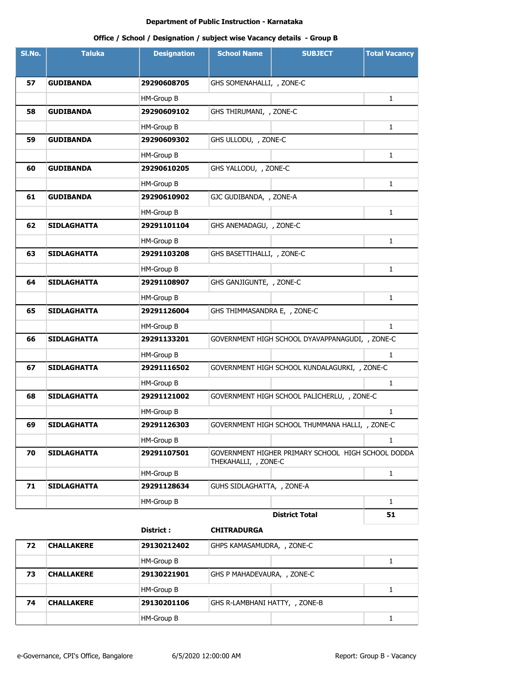# **Office / School / Designation / subject wise Vacancy details - Group B**

| SI.No. | <b>Taluka</b>      | <b>Designation</b> | <b>School Name</b>           | <b>SUBJECT</b>                                     | <b>Total Vacancy</b> |
|--------|--------------------|--------------------|------------------------------|----------------------------------------------------|----------------------|
|        |                    |                    |                              |                                                    |                      |
| 57     | <b>GUDIBANDA</b>   | 29290608705        | GHS SOMENAHALLI, , ZONE-C    |                                                    |                      |
|        |                    | HM-Group B         |                              |                                                    | 1                    |
| 58     | <b>GUDIBANDA</b>   | 29290609102        | GHS THIRUMANI, , ZONE-C      |                                                    |                      |
|        |                    | HM-Group B         |                              |                                                    | 1                    |
| 59     | <b>GUDIBANDA</b>   | 29290609302        | GHS ULLODU, , ZONE-C         |                                                    |                      |
|        |                    | HM-Group B         |                              |                                                    | $\mathbf{1}$         |
| 60     | <b>GUDIBANDA</b>   | 29290610205        | GHS YALLODU, , ZONE-C        |                                                    |                      |
|        |                    | HM-Group B         |                              |                                                    | $\mathbf{1}$         |
| 61     | <b>GUDIBANDA</b>   | 29290610902        | GJC GUDIBANDA, , ZONE-A      |                                                    |                      |
|        |                    | HM-Group B         |                              |                                                    | $\mathbf{1}$         |
| 62     | <b>SIDLAGHATTA</b> | 29291101104        | GHS ANEMADAGU, , ZONE-C      |                                                    |                      |
|        |                    | HM-Group B         |                              |                                                    | $\mathbf{1}$         |
| 63     | <b>SIDLAGHATTA</b> | 29291103208        | GHS BASETTIHALLI, , ZONE-C   |                                                    |                      |
|        |                    | HM-Group B         |                              |                                                    | $\mathbf{1}$         |
| 64     | <b>SIDLAGHATTA</b> | 29291108907        | GHS GANJIGUNTE, , ZONE-C     |                                                    |                      |
|        |                    | HM-Group B         |                              |                                                    | 1                    |
| 65     | SIDLAGHATTA        | 29291126004        | GHS THIMMASANDRA E, , ZONE-C |                                                    |                      |
|        |                    | HM-Group B         |                              |                                                    | $\mathbf{1}$         |
| 66     | <b>SIDLAGHATTA</b> | 29291133201        |                              | GOVERNMENT HIGH SCHOOL DYAVAPPANAGUDI, , ZONE-C    |                      |
|        |                    | HM-Group B         |                              |                                                    | $\mathbf{1}$         |
| 67     | <b>SIDLAGHATTA</b> | 29291116502        |                              | GOVERNMENT HIGH SCHOOL KUNDALAGURKI, , ZONE-C      |                      |
|        |                    | HM-Group B         |                              |                                                    | $\mathbf{1}$         |
| 68     | <b>SIDLAGHATTA</b> | 29291121002        |                              | GOVERNMENT HIGH SCHOOL PALICHERLU, , ZONE-C        |                      |
|        |                    | HM-Group B         |                              |                                                    | $\mathbf{1}$         |
| 69     | <b>SIDLAGHATTA</b> | 29291126303        |                              | GOVERNMENT HIGH SCHOOL THUMMANA HALLI, , ZONE-C    |                      |
|        |                    | HM-Group B         |                              |                                                    | 1                    |
| 70     | <b>SIDLAGHATTA</b> | 29291107501        | THEKAHALLI, , ZONE-C         | GOVERNMENT HIGHER PRIMARY SCHOOL HIGH SCHOOL DODDA |                      |
|        |                    | HM-Group B         |                              |                                                    | $\mathbf{1}$         |
| 71     | <b>SIDLAGHATTA</b> | 29291128634        | GUHS SIDLAGHATTA, , ZONE-A   |                                                    |                      |
|        |                    | HM-Group B         |                              |                                                    | 1                    |
|        |                    |                    |                              | <b>District Total</b>                              | 51                   |

# **District : CHITRADURGA**

| 72 | <b>CHALLAKERE</b> | 29130212402 | GHPS KAMASAMUDRA, , ZONE-C     |  |  |
|----|-------------------|-------------|--------------------------------|--|--|
|    |                   | HM-Group B  |                                |  |  |
| 73 | <b>CHALLAKERE</b> | 29130221901 | GHS P MAHADEVAURA, , ZONE-C    |  |  |
|    |                   | HM-Group B  |                                |  |  |
| 74 | <b>CHALLAKERE</b> | 29130201106 | GHS R-LAMBHANI HATTY, , ZONE-B |  |  |
|    |                   | HM-Group B  |                                |  |  |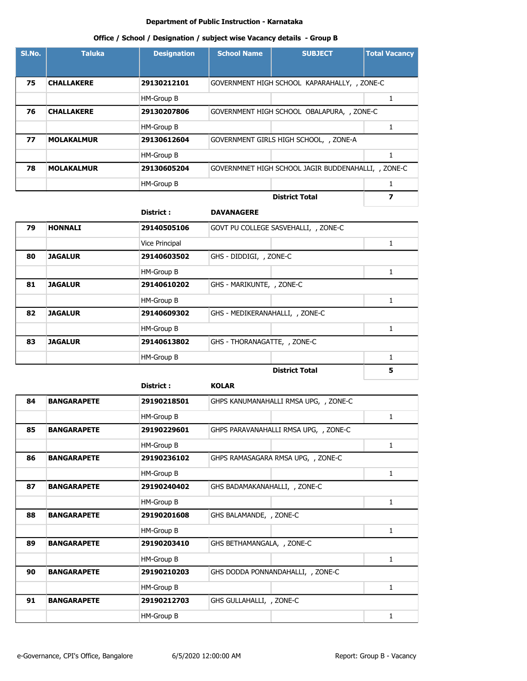## **Office / School / Designation / subject wise Vacancy details - Group B**

| SI.No. | <b>Taluka</b>     | <b>Designation</b> | <b>School Name</b>                         | <b>SUBJECT</b>                               | <b>Total Vacancy</b> |
|--------|-------------------|--------------------|--------------------------------------------|----------------------------------------------|----------------------|
| 75     | <b>CHALLAKERE</b> | 29130212101        |                                            | GOVERNMENT HIGH SCHOOL KAPARAHALLY, , ZONE-C |                      |
|        |                   | HM-Group B         |                                            |                                              |                      |
| 76     | <b>CHALLAKERE</b> | 29130207806        | GOVERNMENT HIGH SCHOOL OBALAPURA, , ZONE-C |                                              |                      |
|        |                   | HM-Group B         |                                            |                                              |                      |
| 77     | <b>MOLAKALMUR</b> | 29130612604        |                                            | GOVERNMENT GIRLS HIGH SCHOOL, , ZONE-A       |                      |
|        |                   | HM-Group B         |                                            |                                              |                      |
| 78     | <b>MOLAKALMUR</b> | 29130605204        |                                            | GOVERNMNET HIGH SCHOOL JAGIR BUDDENAHALLI,   | ZONE-C               |
|        |                   | HM-Group B         |                                            |                                              |                      |
|        |                   |                    |                                            | <b>District Total</b>                        | 7                    |

#### **District : DAVANAGERE**

| 79 | <b>HONNALI</b> | 29140505106           |                                 | GOVT PU COLLEGE SASVEHALLI, , ZONE-C |   |  |
|----|----------------|-----------------------|---------------------------------|--------------------------------------|---|--|
|    |                | <b>Vice Principal</b> |                                 |                                      |   |  |
| 80 | <b>JAGALUR</b> | 29140603502           | GHS - DIDDIGI, , ZONE-C         |                                      |   |  |
|    |                | HM-Group B            |                                 |                                      |   |  |
| 81 | <b>JAGALUR</b> | 29140610202           | GHS - MARIKUNTE, , ZONE-C       |                                      |   |  |
|    |                | HM-Group B            |                                 |                                      |   |  |
| 82 | <b>JAGALUR</b> | 29140609302           | GHS - MEDIKERANAHALLI, , ZONE-C |                                      |   |  |
|    |                | HM-Group B            |                                 |                                      |   |  |
| 83 | <b>JAGALUR</b> | 29140613802           | GHS - THORANAGATTE, , ZONE-C    |                                      |   |  |
|    |                | HM-Group B            |                                 |                                      |   |  |
|    |                |                       |                                 | <b>District Total</b>                | 5 |  |

|    |                    | District :  | <b>KOLAR</b>                          |   |
|----|--------------------|-------------|---------------------------------------|---|
| 84 | <b>BANGARAPETE</b> | 29190218501 | GHPS KANUMANAHALLI RMSA UPG, , ZONE-C |   |
|    |                    | HM-Group B  |                                       | 1 |
| 85 | <b>BANGARAPETE</b> | 29190229601 | GHPS PARAVANAHALLI RMSA UPG, , ZONE-C |   |
|    |                    | HM-Group B  |                                       | 1 |
| 86 | <b>BANGARAPETE</b> | 29190236102 | GHPS RAMASAGARA RMSA UPG, , ZONE-C    |   |
|    |                    | HM-Group B  |                                       | 1 |
| 87 | <b>BANGARAPETE</b> | 29190240402 | GHS BADAMAKANAHALLI, , ZONE-C         |   |
|    |                    | HM-Group B  |                                       | 1 |
| 88 | <b>BANGARAPETE</b> | 29190201608 | GHS BALAMANDE, , ZONE-C               |   |
|    |                    | HM-Group B  |                                       | 1 |
| 89 | <b>BANGARAPETE</b> | 29190203410 | GHS BETHAMANGALA, , ZONE-C            |   |
|    |                    | HM-Group B  |                                       | 1 |
| 90 | <b>BANGARAPETE</b> | 29190210203 | GHS DODDA PONNANDAHALLI, , ZONE-C     |   |
|    |                    | HM-Group B  |                                       | 1 |
| 91 | <b>BANGARAPETE</b> | 29190212703 | GHS GULLAHALLI, , ZONE-C              |   |

HM-Group B 1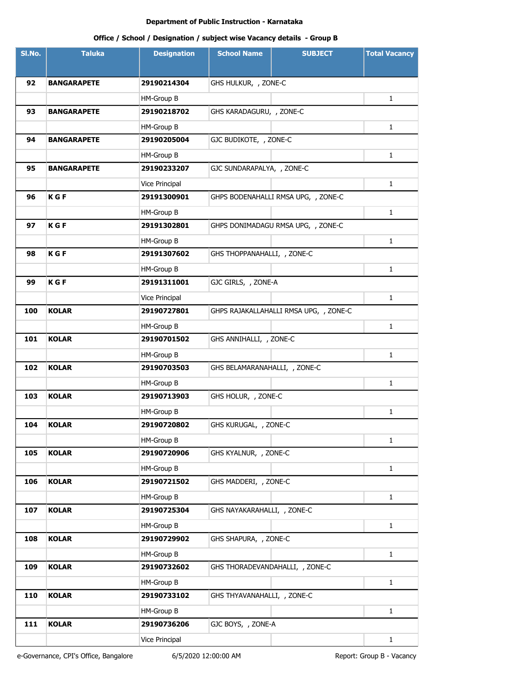| SI.No. | <b>Taluka</b>      | <b>Designation</b> | <b>School Name</b>              | <b>SUBJECT</b>                         | <b>Total Vacancy</b> |
|--------|--------------------|--------------------|---------------------------------|----------------------------------------|----------------------|
|        |                    |                    |                                 |                                        |                      |
| 92     | <b>BANGARAPETE</b> | 29190214304        | GHS HULKUR, , ZONE-C            |                                        |                      |
|        |                    | HM-Group B         |                                 |                                        | $\mathbf{1}$         |
| 93     | <b>BANGARAPETE</b> | 29190218702        | GHS KARADAGURU, , ZONE-C        |                                        |                      |
|        |                    | HM-Group B         |                                 |                                        | $\mathbf{1}$         |
| 94     | <b>BANGARAPETE</b> | 29190205004        | GJC BUDIKOTE, , ZONE-C          |                                        |                      |
|        |                    | HM-Group B         |                                 |                                        | 1                    |
| 95     | <b>BANGARAPETE</b> | 29190233207        | GJC SUNDARAPALYA, , ZONE-C      |                                        |                      |
|        |                    | Vice Principal     |                                 |                                        | 1                    |
| 96     | <b>KGF</b>         | 29191300901        |                                 | GHPS BODENAHALLI RMSA UPG, , ZONE-C    |                      |
|        |                    | HM-Group B         |                                 |                                        | $\mathbf{1}$         |
| 97     | <b>KGF</b>         | 29191302801        |                                 | GHPS DONIMADAGU RMSA UPG, , ZONE-C     |                      |
|        |                    | HM-Group B         |                                 |                                        | $\mathbf{1}$         |
| 98     | <b>KGF</b>         | 29191307602        | GHS THOPPANAHALLI, , ZONE-C     |                                        |                      |
|        |                    | HM-Group B         |                                 |                                        | $\mathbf{1}$         |
| 99     | <b>KGF</b>         | 29191311001        | GJC GIRLS, , ZONE-A             |                                        |                      |
|        |                    | Vice Principal     |                                 |                                        | $\mathbf{1}$         |
| 100    | <b>KOLAR</b>       | 29190727801        |                                 | GHPS RAJAKALLAHALLI RMSA UPG, , ZONE-C |                      |
|        |                    | HM-Group B         |                                 |                                        | $\mathbf{1}$         |
| 101    | <b>KOLAR</b>       | 29190701502        | GHS ANNIHALLI, , ZONE-C         |                                        |                      |
|        |                    | HM-Group B         |                                 |                                        | $\mathbf{1}$         |
| 102    | <b>KOLAR</b>       | 29190703503        | GHS BELAMARANAHALLI, , ZONE-C   |                                        |                      |
|        |                    | HM-Group B         |                                 |                                        | $\mathbf{1}$         |
| 103    | <b>KOLAR</b>       | 29190713903        | GHS HOLUR, , ZONE-C             |                                        |                      |
|        |                    | HM-Group B         |                                 |                                        | $\mathbf{1}$         |
| 104    | <b>KOLAR</b>       | 29190720802        | GHS KURUGAL, , ZONE-C           |                                        |                      |
|        |                    | HM-Group B         |                                 |                                        | $\mathbf{1}$         |
| 105    | <b>KOLAR</b>       | 29190720906        | GHS KYALNUR, , ZONE-C           |                                        |                      |
|        |                    | HM-Group B         |                                 |                                        | $\mathbf{1}$         |
| 106    | <b>KOLAR</b>       | 29190721502        | GHS MADDERI, , ZONE-C           |                                        |                      |
|        |                    | HM-Group B         |                                 |                                        | $\mathbf{1}$         |
| 107    | <b>KOLAR</b>       | 29190725304        | GHS NAYAKARAHALLI, , ZONE-C     |                                        |                      |
|        |                    | HM-Group B         |                                 |                                        | $\mathbf{1}$         |
| 108    | <b>KOLAR</b>       | 29190729902        | GHS SHAPURA, , ZONE-C           |                                        |                      |
|        |                    | HM-Group B         |                                 |                                        | $\mathbf{1}$         |
| 109    | <b>KOLAR</b>       | 29190732602        | GHS THORADEVANDAHALLI, , ZONE-C |                                        |                      |
|        |                    | HM-Group B         |                                 |                                        | $\mathbf{1}$         |
| 110    | <b>KOLAR</b>       | 29190733102        | GHS THYAVANAHALLI, , ZONE-C     |                                        |                      |
|        |                    | HM-Group B         |                                 |                                        | $\mathbf{1}$         |
| 111    | <b>KOLAR</b>       | 29190736206        | GJC BOYS, , ZONE-A              |                                        |                      |
|        |                    | Vice Principal     |                                 |                                        | $\mathbf{1}$         |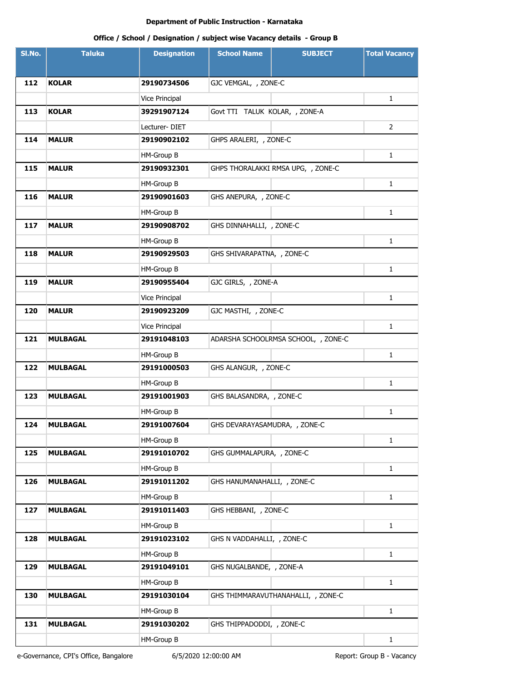| SI.No. | <b>Taluka</b>   | <b>Designation</b> | <b>School Name</b>             | <b>SUBJECT</b>                      | <b>Total Vacancy</b> |  |
|--------|-----------------|--------------------|--------------------------------|-------------------------------------|----------------------|--|
|        |                 |                    |                                |                                     |                      |  |
| 112    | <b>KOLAR</b>    | 29190734506        | GJC VEMGAL, , ZONE-C           |                                     |                      |  |
|        |                 | Vice Principal     |                                |                                     | 1                    |  |
| 113    | <b>KOLAR</b>    | 39291907124        | Govt TTI TALUK KOLAR, , ZONE-A |                                     |                      |  |
|        |                 | Lecturer-DIET      | $\overline{2}$                 |                                     |                      |  |
| 114    | <b>MALUR</b>    | 29190902102        | GHPS ARALERI, , ZONE-C         |                                     |                      |  |
|        |                 | HM-Group B         |                                |                                     | 1                    |  |
| 115    | <b>MALUR</b>    | 29190932301        |                                | GHPS THORALAKKI RMSA UPG, , ZONE-C  |                      |  |
|        |                 | HM-Group B         |                                |                                     | 1                    |  |
| 116    | <b>MALUR</b>    | 29190901603        | GHS ANEPURA, , ZONE-C          |                                     |                      |  |
|        |                 | HM-Group B         |                                |                                     | 1                    |  |
| 117    | <b>MALUR</b>    | 29190908702        | GHS DINNAHALLI, , ZONE-C       |                                     |                      |  |
|        |                 | HM-Group B         |                                |                                     | $\mathbf{1}$         |  |
| 118    | <b>MALUR</b>    | 29190929503        | GHS SHIVARAPATNA, , ZONE-C     |                                     |                      |  |
|        |                 | HM-Group B         |                                |                                     | $\mathbf{1}$         |  |
| 119    | <b>MALUR</b>    | 29190955404        | GJC GIRLS, , ZONE-A            |                                     |                      |  |
|        |                 | Vice Principal     |                                |                                     | 1                    |  |
| 120    | <b>MALUR</b>    | 29190923209        | GJC MASTHI, , ZONE-C           |                                     |                      |  |
|        |                 | Vice Principal     |                                |                                     | $\mathbf{1}$         |  |
| 121    | <b>MULBAGAL</b> | 29191048103        |                                | ADARSHA SCHOOLRMSA SCHOOL, , ZONE-C |                      |  |
|        |                 | HM-Group B         |                                |                                     | $\mathbf{1}$         |  |
| 122    | <b>MULBAGAL</b> | 29191000503        | GHS ALANGUR, , ZONE-C          |                                     |                      |  |
|        |                 | HM-Group B         |                                |                                     | $\mathbf{1}$         |  |
| 123    | <b>MULBAGAL</b> | 29191001903        | GHS BALASANDRA, , ZONE-C       |                                     |                      |  |
|        |                 | HM-Group B         |                                |                                     | $\mathbf{1}$         |  |
| 124    | <b>MULBAGAL</b> | 29191007604        | GHS DEVARAYASAMUDRA, , ZONE-C  |                                     |                      |  |
|        |                 | HM-Group B         |                                |                                     | $\mathbf{1}$         |  |
| 125    | <b>MULBAGAL</b> | 29191010702        | GHS GUMMALAPURA, , ZONE-C      |                                     |                      |  |
|        |                 | HM-Group B         |                                |                                     | $\mathbf{1}$         |  |
| 126    | <b>MULBAGAL</b> | 29191011202        | GHS HANUMANAHALLI, , ZONE-C    |                                     |                      |  |
|        |                 | HM-Group B         |                                |                                     | $\mathbf{1}$         |  |
| 127    | <b>MULBAGAL</b> | 29191011403        | GHS HEBBANI, , ZONE-C          |                                     |                      |  |
|        |                 | HM-Group B         |                                |                                     | $\mathbf{1}$         |  |
| 128    | <b>MULBAGAL</b> | 29191023102        | GHS N VADDAHALLI, , ZONE-C     |                                     |                      |  |
|        |                 | HM-Group B         |                                |                                     | $\mathbf{1}$         |  |
| 129    | <b>MULBAGAL</b> | 29191049101        | GHS NUGALBANDE, , ZONE-A       |                                     |                      |  |
|        |                 | HM-Group B         |                                |                                     | $\mathbf{1}$         |  |
| 130    | <b>MULBAGAL</b> | 29191030104        |                                | GHS THIMMARAVUTHANAHALLI, , ZONE-C  |                      |  |
|        |                 | HM-Group B         |                                |                                     | $\mathbf{1}$         |  |
| 131    | <b>MULBAGAL</b> | 29191030202        | GHS THIPPADODDI, , ZONE-C      |                                     |                      |  |
|        |                 | HM-Group B         |                                |                                     | $\mathbf{1}$         |  |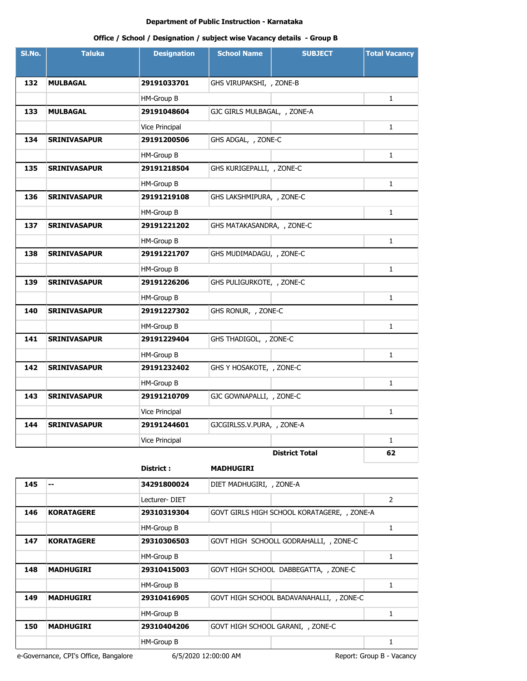# **Office / School / Designation / subject wise Vacancy details - Group B**

| SI.No. | <b>Taluka</b>       | <b>Designation</b>    | <b>School Name</b>           | <b>SUBJECT</b>        | <b>Total Vacancy</b> |
|--------|---------------------|-----------------------|------------------------------|-----------------------|----------------------|
|        |                     |                       |                              |                       |                      |
| 132    | <b>MULBAGAL</b>     | 29191033701           | GHS VIRUPAKSHI, , ZONE-B     |                       |                      |
|        |                     | HM-Group B            |                              |                       | $\mathbf{1}$         |
| 133    | <b>MULBAGAL</b>     | 29191048604           | GJC GIRLS MULBAGAL, , ZONE-A |                       |                      |
|        |                     | <b>Vice Principal</b> |                              |                       | $\mathbf{1}$         |
| 134    | <b>SRINIVASAPUR</b> | 29191200506           | GHS ADGAL, , ZONE-C          |                       |                      |
|        |                     | HM-Group B            |                              |                       | $\mathbf{1}$         |
| 135    | <b>SRINIVASAPUR</b> | 29191218504           | GHS KURIGEPALLI, , ZONE-C    |                       |                      |
|        |                     | HM-Group B            |                              |                       | $\mathbf{1}$         |
| 136    | <b>SRINIVASAPUR</b> | 29191219108           | GHS LAKSHMIPURA, , ZONE-C    |                       |                      |
|        |                     | HM-Group B            |                              |                       | 1                    |
| 137    | <b>SRINIVASAPUR</b> | 29191221202           | GHS MATAKASANDRA, , ZONE-C   |                       |                      |
|        |                     | HM-Group B            |                              |                       | $\mathbf{1}$         |
| 138    | <b>SRINIVASAPUR</b> | 29191221707           | GHS MUDIMADAGU, , ZONE-C     |                       |                      |
|        |                     | HM-Group B            |                              |                       | $\mathbf{1}$         |
| 139    | <b>SRINIVASAPUR</b> | 29191226206           | GHS PULIGURKOTE, , ZONE-C    |                       |                      |
|        |                     | HM-Group B            |                              |                       | $\mathbf{1}$         |
| 140    | <b>SRINIVASAPUR</b> | 29191227302           | GHS RONUR, , ZONE-C          |                       |                      |
|        |                     | HM-Group B            |                              |                       | $\mathbf{1}$         |
| 141    | <b>SRINIVASAPUR</b> | 29191229404           | GHS THADIGOL, , ZONE-C       |                       |                      |
|        |                     | HM-Group B            |                              |                       | $\mathbf{1}$         |
| 142    | <b>SRINIVASAPUR</b> | 29191232402           | GHS Y HOSAKOTE, , ZONE-C     |                       |                      |
|        |                     | HM-Group B            |                              |                       | 1                    |
| 143    | <b>SRINIVASAPUR</b> | 29191210709           | GJC GOWNAPALLI, , ZONE-C     |                       |                      |
|        |                     | <b>Vice Principal</b> |                              |                       | $\mathbf{1}$         |
| 144    | <b>SRINIVASAPUR</b> | 29191244601           | GJCGIRLSS.V.PURA, , ZONE-A   |                       |                      |
|        |                     | Vice Principal        |                              |                       | $\mathbf{1}$         |
|        |                     |                       |                              | <b>District Total</b> | 62                   |

## **District : MADHUGIRI**

| 145 | --                | 34291800024   | DIET MADHUGIRI, , ZONE-A                 |                                             |                |
|-----|-------------------|---------------|------------------------------------------|---------------------------------------------|----------------|
|     |                   | Lecturer-DIET |                                          |                                             | $\overline{2}$ |
| 146 | <b>KORATAGERE</b> | 29310319304   |                                          | GOVT GIRLS HIGH SCHOOL KORATAGERE, , ZONE-A |                |
|     |                   | HM-Group B    |                                          |                                             |                |
| 147 | <b>KORATAGERE</b> | 29310306503   | GOVT HIGH SCHOOLL GODRAHALLI, , ZONE-C   |                                             |                |
|     |                   | HM-Group B    |                                          |                                             |                |
| 148 | <b>MADHUGIRI</b>  | 29310415003   | GOVT HIGH SCHOOL DABBEGATTA, , ZONE-C    |                                             |                |
|     |                   | HM-Group B    |                                          |                                             |                |
| 149 | <b>MADHUGIRI</b>  | 29310416905   | GOVT HIGH SCHOOL BADAVANAHALLI, , ZONE-C |                                             |                |
|     |                   | HM-Group B    |                                          |                                             |                |
| 150 | <b>MADHUGIRI</b>  | 29310404206   | GOVT HIGH SCHOOL GARANI, , ZONE-C        |                                             |                |
|     |                   | HM-Group B    |                                          |                                             |                |

e-Governance, CPI's Office, Bangalore 6/5/2020 12:00:00 AM Report: Group B - Vacancy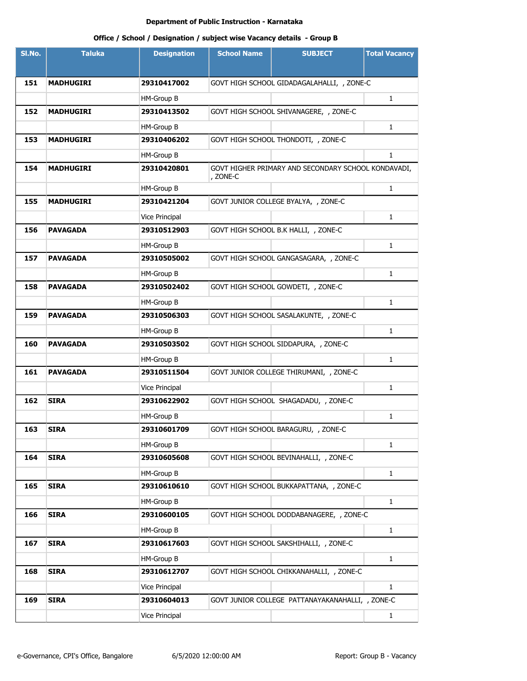| SI.No. | <b>Taluka</b>    | <b>Designation</b>    | <b>School Name</b> | <b>SUBJECT</b>                                      | <b>Total Vacancy</b> |  |  |
|--------|------------------|-----------------------|--------------------|-----------------------------------------------------|----------------------|--|--|
|        |                  |                       |                    |                                                     |                      |  |  |
| 151    | <b>MADHUGIRI</b> | 29310417002           |                    | GOVT HIGH SCHOOL GIDADAGALAHALLI, , ZONE-C          |                      |  |  |
|        |                  | HM-Group B            | $\mathbf{1}$       |                                                     |                      |  |  |
| 152    | <b>MADHUGIRI</b> | 29310413502           |                    | GOVT HIGH SCHOOL SHIVANAGERE, , ZONE-C              |                      |  |  |
|        |                  | HM-Group B            |                    |                                                     | $\mathbf{1}$         |  |  |
| 153    | <b>MADHUGIRI</b> | 29310406202           |                    | GOVT HIGH SCHOOL THONDOTI, , ZONE-C                 |                      |  |  |
|        |                  | HM-Group B            |                    |                                                     | $\mathbf{1}$         |  |  |
| 154    | <b>MADHUGIRI</b> | 29310420801           | , ZONE-C           | GOVT HIGHER PRIMARY AND SECONDARY SCHOOL KONDAVADI, |                      |  |  |
|        |                  | HM-Group B            |                    |                                                     | $\mathbf{1}$         |  |  |
| 155    | <b>MADHUGIRI</b> | 29310421204           |                    | GOVT JUNIOR COLLEGE BYALYA, , ZONE-C                |                      |  |  |
|        |                  | <b>Vice Principal</b> |                    |                                                     | $\mathbf{1}$         |  |  |
| 156    | <b>PAVAGADA</b>  | 29310512903           |                    | GOVT HIGH SCHOOL B.K HALLI, , ZONE-C                |                      |  |  |
|        |                  | HM-Group B            |                    |                                                     | 1                    |  |  |
| 157    | <b>PAVAGADA</b>  | 29310505002           |                    | GOVT HIGH SCHOOL GANGASAGARA, , ZONE-C              |                      |  |  |
|        |                  | HM-Group B            |                    |                                                     | $\mathbf{1}$         |  |  |
| 158    | <b>PAVAGADA</b>  | 29310502402           |                    | GOVT HIGH SCHOOL GOWDETI, , ZONE-C                  |                      |  |  |
|        |                  | HM-Group B            |                    |                                                     | 1                    |  |  |
| 159    | PAVAGADA         | 29310506303           |                    | GOVT HIGH SCHOOL SASALAKUNTE, , ZONE-C              |                      |  |  |
|        |                  | HM-Group B            |                    |                                                     | 1                    |  |  |
| 160    | PAVAGADA         | 29310503502           |                    | GOVT HIGH SCHOOL SIDDAPURA, , ZONE-C                |                      |  |  |
|        |                  | HM-Group B            |                    |                                                     | 1                    |  |  |
| 161    | <b>PAVAGADA</b>  | 29310511504           |                    | GOVT JUNIOR COLLEGE THIRUMANI, , ZONE-C             |                      |  |  |
|        |                  | Vice Principal        |                    |                                                     | $\mathbf{1}$         |  |  |
| 162    | <b>SIRA</b>      | 29310622902           |                    | GOVT HIGH SCHOOL SHAGADADU, , ZONE-C                |                      |  |  |
|        |                  | HM-Group B            |                    |                                                     | 1                    |  |  |
| 163    | SIRA             | 29310601709           |                    | GOVT HIGH SCHOOL BARAGURU, , ZONE-C                 |                      |  |  |
|        |                  | HM-Group B            |                    |                                                     | $\mathbf{1}$         |  |  |
| 164    | <b>SIRA</b>      | 29310605608           |                    | GOVT HIGH SCHOOL BEVINAHALLI, , ZONE-C              |                      |  |  |
|        |                  | HM-Group B            |                    |                                                     | $\mathbf{1}$         |  |  |
| 165    | SIRA             | 29310610610           |                    | GOVT HIGH SCHOOL BUKKAPATTANA, , ZONE-C             |                      |  |  |
|        |                  | HM-Group B            |                    |                                                     | $\mathbf{1}$         |  |  |
| 166    | <b>SIRA</b>      | 29310600105           |                    | GOVT HIGH SCHOOL DODDABANAGERE, , ZONE-C            |                      |  |  |
|        |                  | HM-Group B            |                    |                                                     | $\mathbf{1}$         |  |  |
| 167    | <b>SIRA</b>      | 29310617603           |                    | GOVT HIGH SCHOOL SAKSHIHALLI, , ZONE-C              |                      |  |  |
|        |                  | HM-Group B            |                    |                                                     | $\mathbf{1}$         |  |  |
| 168    | <b>SIRA</b>      | 29310612707           |                    | GOVT HIGH SCHOOL CHIKKANAHALLI, , ZONE-C            |                      |  |  |
|        |                  | Vice Principal        |                    |                                                     | $\mathbf{1}$         |  |  |
| 169    | SIRA             | 29310604013           |                    | GOVT JUNIOR COLLEGE PATTANAYAKANAHALLI, , ZONE-C    |                      |  |  |
|        |                  | Vice Principal        |                    |                                                     | $\mathbf{1}$         |  |  |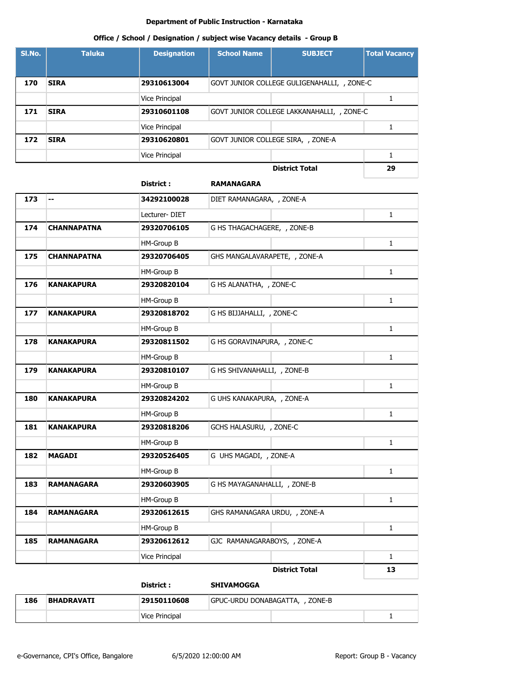#### **Office / School / Designation / subject wise Vacancy details - Group B**

| SI.No. | <b>Taluka</b> | <b>Designation</b>    | <b>School Name</b> | <b>SUBJECT</b>                              | <b>Total Vacancy</b> |
|--------|---------------|-----------------------|--------------------|---------------------------------------------|----------------------|
|        |               |                       |                    |                                             |                      |
| 170    | <b>SIRA</b>   | 29310613004           |                    | GOVT JUNIOR COLLEGE GULIGENAHALLI, , ZONE-C |                      |
|        |               | Vice Principal        |                    |                                             |                      |
| 171    | <b>SIRA</b>   | 29310601108           |                    | GOVT JUNIOR COLLEGE LAKKANAHALLI, , ZONE-C  |                      |
|        |               | <b>Vice Principal</b> |                    |                                             |                      |
| 172    | <b>SIRA</b>   | 29310620801           |                    | GOVT JUNIOR COLLEGE SIRA, , ZONE-A          |                      |
|        |               | <b>Vice Principal</b> |                    |                                             |                      |
|        |               |                       |                    | <b>District Total</b>                       | 29                   |

# **District : RAMANAGARA 173 -- 34292100028** DIET RAMANAGARA, , ZONE-A Lecturer- DIET 1 **174 CHANNAPATNA 29320706105** G HS THAGACHAGERE, , ZONE-B HM-Group B 1 **175 CHANNAPATNA 29320706405** GHS MANGALAVARAPETE, , ZONE-A HM-Group B 1 **176 KANAKAPURA 29320820104** G HS ALANATHA, , ZONE-C HM-Group B 1 **177 KANAKAPURA 29320818702** G HS BIJJAHALLI, , ZONE-C HM-Group B 1 **178 KANAKAPURA 29320811502** G HS GORAVINAPURA, , ZONE-C HM-Group B 1 **179 KANAKAPURA 29320810107** G HS SHIVANAHALLI, , ZONE-B HM-Group B 1 **180 KANAKAPURA 29320824202** G UHS KANAKAPURA, , ZONE-A HM-Group B 1 **181 KANAKAPURA 29320818206** GCHS HALASURU, , ZONE-C HM-Group B 2 1 **182 MAGADI 29320526405** G UHS MAGADI, , ZONE-A HM-Group B 1 **183 RAMANAGARA 29320603905** G HS MAYAGANAHALLI, , ZONE-B HM-Group B 2 1 **184 RAMANAGARA 29320612615** GHS RAMANAGARA URDU, , ZONE-A HM-Group B 1 **185 RAMANAGARA 29320612612** GJC RAMANAGARABOYS, , ZONE-A Vice Principal 1 and 1 and 1 and 1 and 1 and 1 and 1 and 1 and 1 and 1 and 1 and 1 and 1 and 1 and 1 and 1 and 1 and 1 and 1 and 1 and 1 and 1 and 1 and 1 and 1 and 1 and 1 and 1 and 1 and 1 and 1 and 1 and 1 and 1 and 1 a **District Total 13**

|     |                   | District :     | <b>SHIVAMOGGA</b>               |  |  |  |
|-----|-------------------|----------------|---------------------------------|--|--|--|
| 186 | <b>BHADRAVATI</b> | 29150110608    | GPUC-URDU DONABAGATTA, , ZONE-B |  |  |  |
|     |                   | Vice Principal |                                 |  |  |  |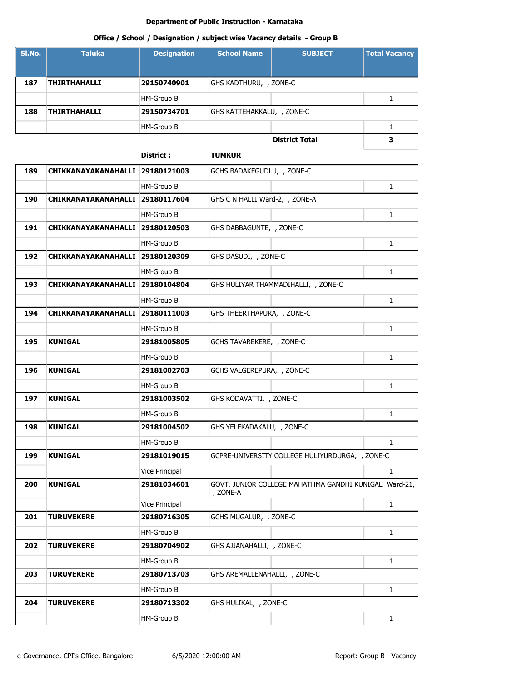# **Office / School / Designation / subject wise Vacancy details - Group B**

| SI.No. | <b>Taluka</b>       | <b>Designation</b> | <b>School Name</b>         | <b>SUBJECT</b>        | <b>Total Vacancy</b> |
|--------|---------------------|--------------------|----------------------------|-----------------------|----------------------|
|        |                     |                    |                            |                       |                      |
| 187    | <b>THIRTHAHALLI</b> | 29150740901        | GHS KADTHURU, , ZONE-C     |                       |                      |
|        |                     | HM-Group B         |                            |                       |                      |
| 188    | <b>THIRTHAHALLI</b> | 29150734701        | GHS KATTEHAKKALU, , ZONE-C |                       |                      |
|        |                     | HM-Group B         |                            |                       |                      |
|        |                     |                    |                            | <b>District Total</b> | 3                    |

## **District : TUMKUR**

| 189 | CHIKKANAYAKANAHALLI 29180121003 |                   | GCHS BADAKEGUDLU, , ZONE-C          |                                                       |              |
|-----|---------------------------------|-------------------|-------------------------------------|-------------------------------------------------------|--------------|
|     |                                 | HM-Group B        |                                     |                                                       | $\mathbf{1}$ |
| 190 | <b>CHIKKANAYAKANAHALLI</b>      | 29180117604       | GHS C N HALLI Ward-2, , ZONE-A      |                                                       |              |
|     |                                 | HM-Group B        |                                     |                                                       | $\mathbf{1}$ |
| 191 | CHIKKANAYAKANAHALLI             | 29180120503       | GHS DABBAGUNTE, , ZONE-C            |                                                       |              |
|     |                                 | HM-Group B        |                                     |                                                       | $\mathbf{1}$ |
| 192 | <b>CHIKKANAYAKANAHALLI</b>      | 29180120309       | GHS DASUDI, , ZONE-C                |                                                       |              |
|     |                                 | HM-Group B        |                                     |                                                       | $\mathbf{1}$ |
| 193 | CHIKKANAYAKANAHALLI             | 29180104804       | GHS HULIYAR THAMMADIHALLI, , ZONE-C |                                                       |              |
|     |                                 | HM-Group B        |                                     |                                                       | $\mathbf{1}$ |
| 194 | CHIKKANAYAKANAHALLI             | 29180111003       | GHS THEERTHAPURA, , ZONE-C          |                                                       |              |
|     |                                 | HM-Group B        |                                     |                                                       | $\mathbf{1}$ |
| 195 | <b>KUNIGAL</b>                  | 29181005805       | GCHS TAVAREKERE, , ZONE-C           |                                                       |              |
|     |                                 | HM-Group B        |                                     |                                                       | $\mathbf{1}$ |
| 196 | <b>KUNIGAL</b>                  | 29181002703       | GCHS VALGEREPURA, , ZONE-C          |                                                       |              |
|     |                                 | HM-Group B        |                                     |                                                       | $\mathbf{1}$ |
| 197 | <b>KUNIGAL</b>                  | 29181003502       | GHS KODAVATTI, , ZONE-C             |                                                       |              |
|     |                                 | HM-Group B        |                                     |                                                       | $\mathbf{1}$ |
| 198 | <b>KUNIGAL</b>                  | 29181004502       | GHS YELEKADAKALU, , ZONE-C          |                                                       |              |
|     |                                 | HM-Group B        |                                     |                                                       | $\mathbf{1}$ |
| 199 | <b>KUNIGAL</b>                  | 29181019015       |                                     | GCPRE-UNIVERSITY COLLEGE HULIYURDURGA, , ZONE-C       |              |
|     |                                 | Vice Principal    |                                     |                                                       | $\mathbf{1}$ |
| 200 | <b>KUNIGAL</b>                  | 29181034601       | , ZONE-A                            | GOVT. JUNIOR COLLEGE MAHATHMA GANDHI KUNIGAL Ward-21, |              |
|     |                                 | Vice Principal    |                                     |                                                       | $\mathbf{1}$ |
| 201 | <b>TURUVEKERE</b>               | 29180716305       | GCHS MUGALUR, , ZONE-C              |                                                       |              |
|     |                                 | HM-Group B        |                                     |                                                       | $\mathbf{1}$ |
| 202 | <b>TURUVEKERE</b>               | 29180704902       | GHS AJJANAHALLI, , ZONE-C           |                                                       |              |
|     |                                 | <b>HM-Group B</b> |                                     |                                                       | $\mathbf{1}$ |
| 203 | <b>TURUVEKERE</b>               | 29180713703       | GHS AREMALLENAHALLI, , ZONE-C       |                                                       |              |
|     |                                 | HM-Group B        |                                     |                                                       | $\mathbf{1}$ |
| 204 | <b>TURUVEKERE</b>               | 29180713302       | GHS HULIKAL, , ZONE-C               |                                                       |              |
|     |                                 | HM-Group B        |                                     |                                                       | $\mathbf 1$  |
|     |                                 |                   |                                     |                                                       |              |